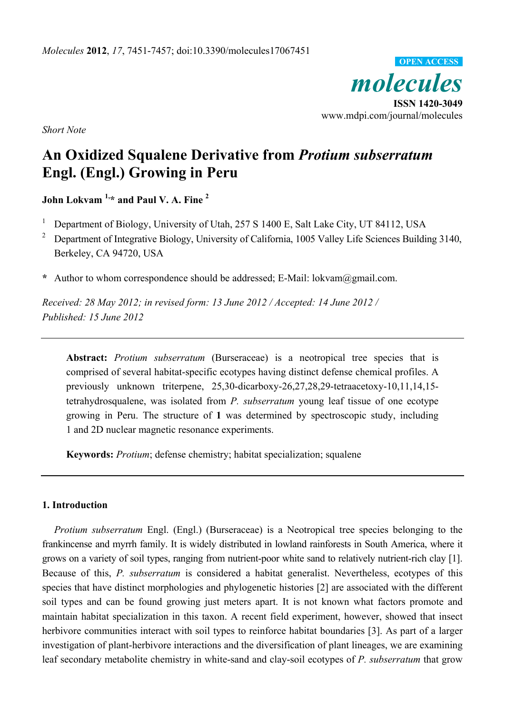

*Short Note* 

# **An Oxidized Squalene Derivative from** *Protium subserratum* **Engl. (Engl.) Growing in Peru**

**John Lokvam 1,\* and Paul V. A. Fine 2**

<sup>1</sup> Department of Biology, University of Utah, 257 S 1400 E, Salt Lake City, UT 84112, USA

<sup>2</sup> Department of Integrative Biology, University of California, 1005 Valley Life Sciences Building 3140, Berkeley, CA 94720, USA

**\*** Author to whom correspondence should be addressed; E-Mail: lokvam@gmail.com.

*Received: 28 May 2012; in revised form: 13 June 2012 / Accepted: 14 June 2012 / Published: 15 June 2012* 

**Abstract:** *Protium subserratum* (Burseraceae) is a neotropical tree species that is comprised of several habitat-specific ecotypes having distinct defense chemical profiles. A previously unknown triterpene, 25,30-dicarboxy-26,27,28,29-tetraacetoxy-10,11,14,15 tetrahydrosqualene, was isolated from *P. subserratum* young leaf tissue of one ecotype growing in Peru. The structure of **1** was determined by spectroscopic study, including 1 and 2D nuclear magnetic resonance experiments.

**Keywords:** *Protium*; defense chemistry; habitat specialization; squalene

## **1. Introduction**

*Protium subserratum* Engl. (Engl.) (Burseraceae) is a Neotropical tree species belonging to the frankincense and myrrh family. It is widely distributed in lowland rainforests in South America, where it grows on a variety of soil types, ranging from nutrient-poor white sand to relatively nutrient-rich clay [1]. Because of this, *P. subserratum* is considered a habitat generalist. Nevertheless, ecotypes of this species that have distinct morphologies and phylogenetic histories [2] are associated with the different soil types and can be found growing just meters apart. It is not known what factors promote and maintain habitat specialization in this taxon. A recent field experiment, however, showed that insect herbivore communities interact with soil types to reinforce habitat boundaries [3]. As part of a larger investigation of plant-herbivore interactions and the diversification of plant lineages, we are examining leaf secondary metabolite chemistry in white-sand and clay-soil ecotypes of *P. subserratum* that grow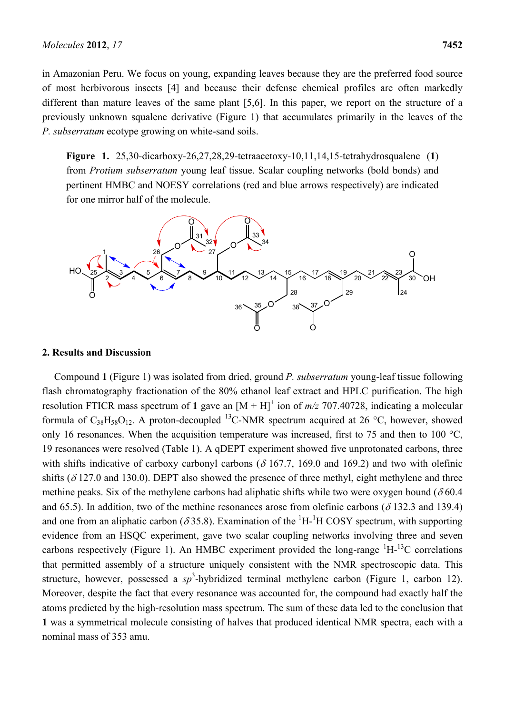in Amazonian Peru. We focus on young, expanding leaves because they are the preferred food source of most herbivorous insects [4] and because their defense chemical profiles are often markedly different than mature leaves of the same plant [5,6]. In this paper, we report on the structure of a previously unknown squalene derivative (Figure 1) that accumulates primarily in the leaves of the *P. subserratum* ecotype growing on white-sand soils.

**Figure 1.** 25,30-dicarboxy-26,27,28,29-tetraacetoxy-10,11,14,15-tetrahydrosqualene (**1**) from *Protium subserratum* young leaf tissue. Scalar coupling networks (bold bonds) and pertinent HMBC and NOESY correlations (red and blue arrows respectively) are indicated for one mirror half of the molecule.



#### **2. Results and Discussion**

Compound **1** (Figure 1) was isolated from dried, ground *P. subserratum* young-leaf tissue following flash chromatography fractionation of the 80% ethanol leaf extract and HPLC purification. The high resolution FTICR mass spectrum of 1 gave an  $[M + H]$ <sup>+</sup> ion of  $m/z$  707.40728, indicating a molecular formula of  $C_{38}H_{58}O_{12}$ . A proton-decoupled <sup>13</sup>C-NMR spectrum acquired at 26 °C, however, showed only 16 resonances. When the acquisition temperature was increased, first to 75 and then to 100  $^{\circ}$ C, 19 resonances were resolved (Table 1). A qDEPT experiment showed five unprotonated carbons, three with shifts indicative of carboxy carbonyl carbons ( $\delta$  167.7, 169.0 and 169.2) and two with olefinic shifts ( $\delta$ 127.0 and 130.0). DEPT also showed the presence of three methyl, eight methylene and three methine peaks. Six of the methylene carbons had aliphatic shifts while two were oxygen bound ( $\delta$ 60.4) and 65.5). In addition, two of the methine resonances arose from olefinic carbons ( $\delta$  132.3 and 139.4) and one from an aliphatic carbon ( $\delta$ 35.8). Examination of the  ${}^{1}H$ - ${}^{1}H$  COSY spectrum, with supporting evidence from an HSQC experiment, gave two scalar coupling networks involving three and seven carbons respectively (Figure 1). An HMBC experiment provided the long-range  ${}^{1}H-{}^{13}C$  correlations that permitted assembly of a structure uniquely consistent with the NMR spectroscopic data. This structure, however, possessed a  $sp^3$ -hybridized terminal methylene carbon (Figure 1, carbon 12). Moreover, despite the fact that every resonance was accounted for, the compound had exactly half the atoms predicted by the high-resolution mass spectrum. The sum of these data led to the conclusion that **1** was a symmetrical molecule consisting of halves that produced identical NMR spectra, each with a nominal mass of 353 amu.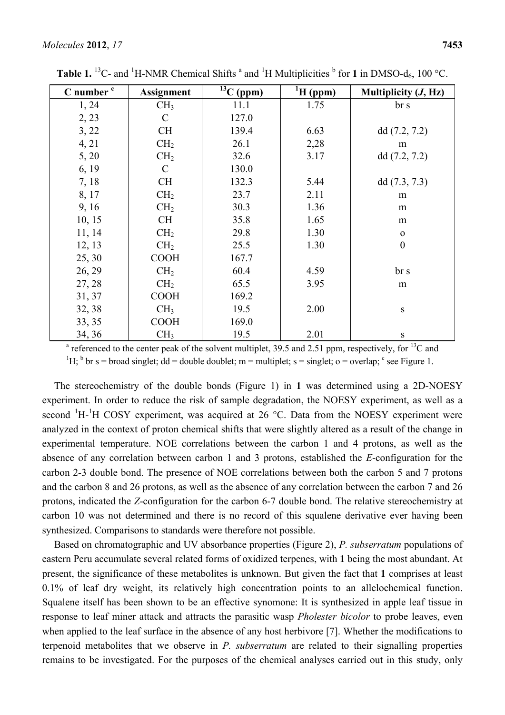| C number <sup>c</sup>                                                                                                         | <b>Assignment</b> | $\overline{^{13}C}$ (ppm) | ${}^{1}H$ (ppm) | Multiplicity $(J, Hz)$ |
|-------------------------------------------------------------------------------------------------------------------------------|-------------------|---------------------------|-----------------|------------------------|
| 1, 24                                                                                                                         | CH <sub>3</sub>   | 11.1                      | 1.75            | br s                   |
| 2, 23                                                                                                                         | $\mathcal{C}$     | 127.0                     |                 |                        |
| 3, 22                                                                                                                         | <b>CH</b>         | 139.4                     | 6.63            | dd(7.2, 7.2)           |
| 4, 21                                                                                                                         | CH <sub>2</sub>   | 26.1                      | 2,28            | m                      |
| 5, 20                                                                                                                         | CH <sub>2</sub>   | 32.6                      | 3.17            | dd(7.2, 7.2)           |
| 6, 19                                                                                                                         | $\mathcal{C}$     | 130.0                     |                 |                        |
| 7, 18                                                                                                                         | <b>CH</b>         | 132.3                     | 5.44            | dd(7.3, 7.3)           |
| 8, 17                                                                                                                         | CH <sub>2</sub>   | 23.7                      | 2.11            | m                      |
| 9, 16                                                                                                                         | CH <sub>2</sub>   | 30.3                      | 1.36            | m                      |
| 10, 15                                                                                                                        | <b>CH</b>         | 35.8                      | 1.65            | m                      |
| 11, 14                                                                                                                        | CH <sub>2</sub>   | 29.8                      | 1.30            | $\mathbf{O}$           |
| 12, 13                                                                                                                        | CH <sub>2</sub>   | 25.5                      | 1.30            | $\boldsymbol{0}$       |
| 25, 30                                                                                                                        | <b>COOH</b>       | 167.7                     |                 |                        |
| 26, 29                                                                                                                        | CH <sub>2</sub>   | 60.4                      | 4.59            | br s                   |
| 27, 28                                                                                                                        | CH <sub>2</sub>   | 65.5                      | 3.95            | m                      |
| 31, 37                                                                                                                        | <b>COOH</b>       | 169.2                     |                 |                        |
| 32, 38                                                                                                                        | CH <sub>3</sub>   | 19.5                      | 2.00            | $\mathbf S$            |
| 33, 35                                                                                                                        | <b>COOH</b>       | 169.0                     |                 |                        |
| 34, 36                                                                                                                        | CH <sub>3</sub>   | 19.5                      | 2.01            | S                      |
| <sup>a</sup> referenced to the center peak of the solvent multiplet, 39.5 and 2.51 ppm, respectively, for <sup>13</sup> C and |                   |                           |                 |                        |

**Table 1.** <sup>13</sup>C- and <sup>1</sup>H-NMR Chemical Shifts <sup>a</sup> and <sup>1</sup>H Multiplicities  $\frac{1}{2}$  for **1** in DMSO-d<sub>6</sub>, 100 °C.

<sup>1</sup>H; <sup>b</sup> br s = broad singlet; dd = double doublet; m = multiplet; s = singlet; o = overlap; <sup>c</sup> see Figure 1.

The stereochemistry of the double bonds (Figure 1) in **1** was determined using a 2D-NOESY experiment. In order to reduce the risk of sample degradation, the NOESY experiment, as well as a second  ${}^{1}H$ - ${}^{1}H$  COSY experiment, was acquired at 26 °C. Data from the NOESY experiment were analyzed in the context of proton chemical shifts that were slightly altered as a result of the change in experimental temperature. NOE correlations between the carbon 1 and 4 protons, as well as the absence of any correlation between carbon 1 and 3 protons, established the *E*-configuration for the carbon 2-3 double bond. The presence of NOE correlations between both the carbon 5 and 7 protons and the carbon 8 and 26 protons, as well as the absence of any correlation between the carbon 7 and 26 protons, indicated the *Z*-configuration for the carbon 6-7 double bond. The relative stereochemistry at carbon 10 was not determined and there is no record of this squalene derivative ever having been synthesized. Comparisons to standards were therefore not possible.

Based on chromatographic and UV absorbance properties (Figure 2), *P. subserratum* populations of eastern Peru accumulate several related forms of oxidized terpenes, with **1** being the most abundant. At present, the significance of these metabolites is unknown. But given the fact that **1** comprises at least 0.1% of leaf dry weight, its relatively high concentration points to an allelochemical function. Squalene itself has been shown to be an effective synomone: It is synthesized in apple leaf tissue in response to leaf miner attack and attracts the parasitic wasp *Pholester bicolor* to probe leaves, even when applied to the leaf surface in the absence of any host herbivore [7]. Whether the modifications to terpenoid metabolites that we observe in *P. subserratum* are related to their signalling properties remains to be investigated. For the purposes of the chemical analyses carried out in this study, only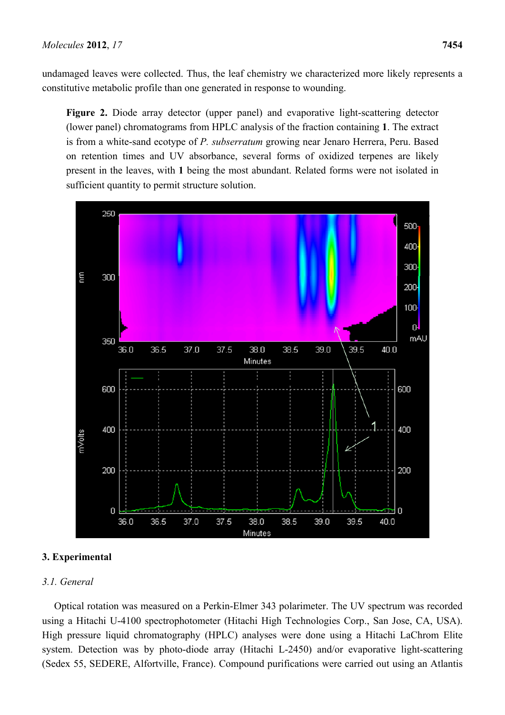undamaged leaves were collected. Thus, the leaf chemistry we characterized more likely represents a constitutive metabolic profile than one generated in response to wounding.

**Figure 2.** Diode array detector (upper panel) and evaporative light-scattering detector (lower panel) chromatograms from HPLC analysis of the fraction containing **1**. The extract is from a white-sand ecotype of *P. subserratum* growing near Jenaro Herrera, Peru. Based on retention times and UV absorbance, several forms of oxidized terpenes are likely present in the leaves, with **1** being the most abundant. Related forms were not isolated in sufficient quantity to permit structure solution.



### **3. Experimental**

## *3.1. General*

Optical rotation was measured on a Perkin-Elmer 343 polarimeter. The UV spectrum was recorded using a Hitachi U-4100 spectrophotometer (Hitachi High Technologies Corp., San Jose, CA, USA). High pressure liquid chromatography (HPLC) analyses were done using a Hitachi LaChrom Elite system. Detection was by photo-diode array (Hitachi L-2450) and/or evaporative light-scattering (Sedex 55, SEDERE, Alfortville, France). Compound purifications were carried out using an Atlantis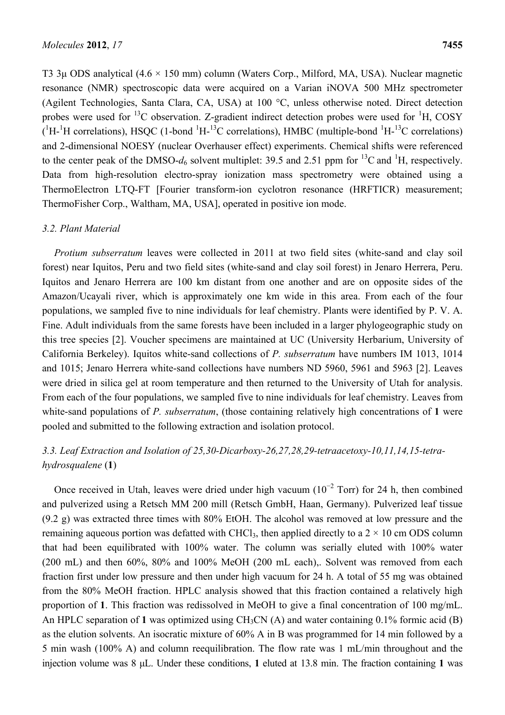T3 3µ ODS analytical  $(4.6 \times 150 \text{ mm})$  column (Waters Corp., Milford, MA, USA). Nuclear magnetic resonance (NMR) spectroscopic data were acquired on a Varian iNOVA 500 MHz spectrometer (Agilent Technologies, Santa Clara, CA, USA) at 100 °C, unless otherwise noted. Direct detection probes were used for  ${}^{13}C$  observation. Z-gradient indirect detection probes were used for  ${}^{1}H$ , COSY  $(^1H^{-1}H$  correlations), HSQC (1-bond  $^1H^{-13}C$  correlations), HMBC (multiple-bond  $^1H^{-13}C$  correlations) and 2-dimensional NOESY (nuclear Overhauser effect) experiments. Chemical shifts were referenced to the center peak of the DMSO- $d_6$  solvent multiplet: 39.5 and 2.51 ppm for <sup>13</sup>C and <sup>1</sup>H, respectively. Data from high-resolution electro-spray ionization mass spectrometry were obtained using a ThermoElectron LTQ-FT [Fourier transform-ion cyclotron resonance (HRFTICR) measurement; ThermoFisher Corp., Waltham, MA, USA], operated in positive ion mode.

### *3.2. Plant Material*

*Protium subserratum* leaves were collected in 2011 at two field sites (white-sand and clay soil forest) near Iquitos, Peru and two field sites (white-sand and clay soil forest) in Jenaro Herrera, Peru. Iquitos and Jenaro Herrera are 100 km distant from one another and are on opposite sides of the Amazon/Ucayali river, which is approximately one km wide in this area. From each of the four populations, we sampled five to nine individuals for leaf chemistry. Plants were identified by P. V. A. Fine. Adult individuals from the same forests have been included in a larger phylogeographic study on this tree species [2]. Voucher specimens are maintained at UC (University Herbarium, University of California Berkeley). Iquitos white-sand collections of *P. subserratum* have numbers IM 1013, 1014 and 1015; Jenaro Herrera white-sand collections have numbers ND 5960, 5961 and 5963 [2]. Leaves were dried in silica gel at room temperature and then returned to the University of Utah for analysis. From each of the four populations, we sampled five to nine individuals for leaf chemistry. Leaves from white-sand populations of *P. subserratum*, (those containing relatively high concentrations of **1** were pooled and submitted to the following extraction and isolation protocol.

## *3.3. Leaf Extraction and Isolation of 25,30-Dicarboxy-26,27,28,29-tetraacetoxy-10,11,14,15-tetrahydrosqualene* (**1**)

Once received in Utah, leaves were dried under high vacuum ( $10^{-2}$  Torr) for 24 h, then combined and pulverized using a Retsch MM 200 mill (Retsch GmbH, Haan, Germany). Pulverized leaf tissue (9.2 g) was extracted three times with 80% EtOH. The alcohol was removed at low pressure and the remaining aqueous portion was defatted with CHCl<sub>3</sub>, then applied directly to a  $2 \times 10$  cm ODS column that had been equilibrated with 100% water. The column was serially eluted with 100% water (200 mL) and then 60%, 80% and 100% MeOH (200 mL each),. Solvent was removed from each fraction first under low pressure and then under high vacuum for 24 h. A total of 55 mg was obtained from the 80% MeOH fraction. HPLC analysis showed that this fraction contained a relatively high proportion of **1**. This fraction was redissolved in MeOH to give a final concentration of 100 mg/mL. An HPLC separation of 1 was optimized using  $CH_3CN(A)$  and water containing 0.1% formic acid (B) as the elution solvents. An isocratic mixture of 60% A in B was programmed for 14 min followed by a 5 min wash (100% A) and column reequilibration. The flow rate was 1 mL/min throughout and the injection volume was 8 μL. Under these conditions, **1** eluted at 13.8 min. The fraction containing **1** was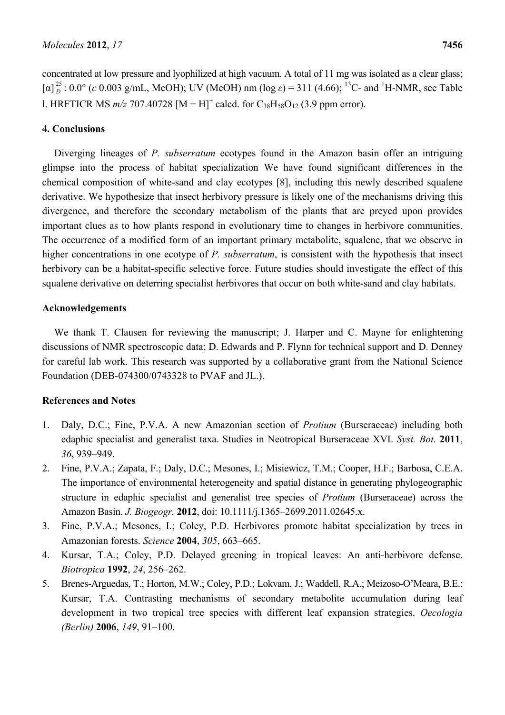concentrated at low pressure and lyophilized at high vacuum. A total of 11 mg was isolated as a clear glass; [α]<sup>25</sup> : 0.0° (*c* 0.003 g/mL, MeOH); UV (MeOH) nm (log *ε*) = 311 (4.66); <sup>13</sup>C- and <sup>1</sup>H-NMR, see Table 1. HRFTICR MS  $m/z$  707.40728  $[M + H]^{+}$  calcd. for  $C_{38}H_{58}O_{12}$  (3.9 ppm error).

## **4. Conclusions**

Diverging lineages of *P. subserratum* ecotypes found in the Amazon basin offer an intriguing glimpse into the process of habitat specialization We have found significant differences in the chemical composition of white-sand and clay ecotypes [8], including this newly described squalene derivative. We hypothesize that insect herbivory pressure is likely one of the mechanisms driving this divergence, and therefore the secondary metabolism of the plants that are preyed upon provides important clues as to how plants respond in evolutionary time to changes in herbivore communities. The occurrence of a modified form of an important primary metabolite, squalene, that we observe in higher concentrations in one ecotype of *P. subserratum*, is consistent with the hypothesis that insect herbivory can be a habitat-specific selective force. Future studies should investigate the effect of this squalene derivative on deterring specialist herbivores that occur on both white-sand and clay habitats.

## **Acknowledgements**

We thank T. Clausen for reviewing the manuscript; J. Harper and C. Mayne for enlightening discussions of NMR spectroscopic data; D. Edwards and P. Flynn for technical support and D. Denney for careful lab work. This research was supported by a collaborative grant from the National Science Foundation (DEB-074300/0743328 to PVAF and JL.).

## **References and Notes**

- 1. Daly, D.C.; Fine, P.V.A. A new Amazonian section of *Protium* (Burseraceae) including both edaphic specialist and generalist taxa. Studies in Neotropical Burseraceae XVI. *Syst. Bot.* **2011**, *36*, 939–949.
- 2. Fine, P.V.A.; Zapata, F.; Daly, D.C.; Mesones, I.; Misiewicz, T.M.; Cooper, H.F.; Barbosa, C.E.A. The importance of environmental heterogeneity and spatial distance in generating phylogeographic structure in edaphic specialist and generalist tree species of *Protium* (Burseraceae) across the Amazon Basin. *J. Biogeogr.* **2012**, doi: 10.1111/j.1365–2699.2011.02645.x.
- 3. Fine, P.V.A.; Mesones, I.; Coley, P.D. Herbivores promote habitat specialization by trees in Amazonian forests. *Science* **2004**, *305*, 663–665.
- 4. Kursar, T.A.; Coley, P.D. Delayed greening in tropical leaves: An anti-herbivore defense. *Biotropica* **1992**, *24*, 256–262.
- 5. Brenes-Arguedas, T.; Horton, M.W.; Coley, P.D.; Lokvam, J.; Waddell, R.A.; Meizoso-O'Meara, B.E.; Kursar, T.A. Contrasting mechanisms of secondary metabolite accumulation during leaf development in two tropical tree species with different leaf expansion strategies. *Oecologia (Berlin)* **2006**, *149*, 91–100.